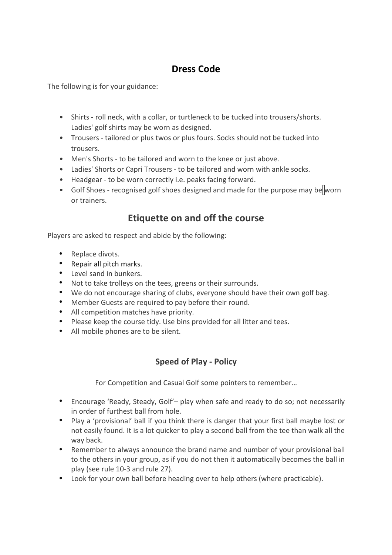## **Dress Code**

The following is for your guidance:

- Shirts roll neck, with a collar, or turtleneck to be tucked into trousers/shorts. Ladies' golf shirts may be worn as designed.
- Trousers tailored or plus twos or plus fours. Socks should not be tucked into trousers.
- Men's Shorts to be tailored and worn to the knee or just above.
- Ladies' Shorts or Capri Trousers to be tailored and worn with ankle socks.
- Headgear to be worn correctly i.e. peaks facing forward.
- Golf Shoes recognised golf shoes designed and made for the purpose may be worn or trainers.

## **Etiquette on and off the course**

Players are asked to respect and abide by the following:

- Replace divots.
- Repair all pitch marks.
- Level sand in bunkers.
- Not to take trolleys on the tees, greens or their surrounds.
- We do not encourage sharing of clubs, everyone should have their own golf bag.
- Member Guests are required to pay before their round.
- All competition matches have priority.
- Please keep the course tidy. Use bins provided for all litter and tees.
- All mobile phones are to be silent.

## **Speed of Play - Policy**

For Competition and Casual Golf some pointers to remember…

- Encourage 'Ready, Steady, Golf'– play when safe and ready to do so; not necessarily in order of furthest ball from hole.
- Play a 'provisional' ball if you think there is danger that your first ball maybe lost or not easily found. It is a lot quicker to play a second ball from the tee than walk all the way back.
- Remember to always announce the brand name and number of your provisional ball to the others in your group, as if you do not then it automatically becomes the ball in play (see rule 10-3 and rule 27).
- Look for your own ball before heading over to help others (where practicable).